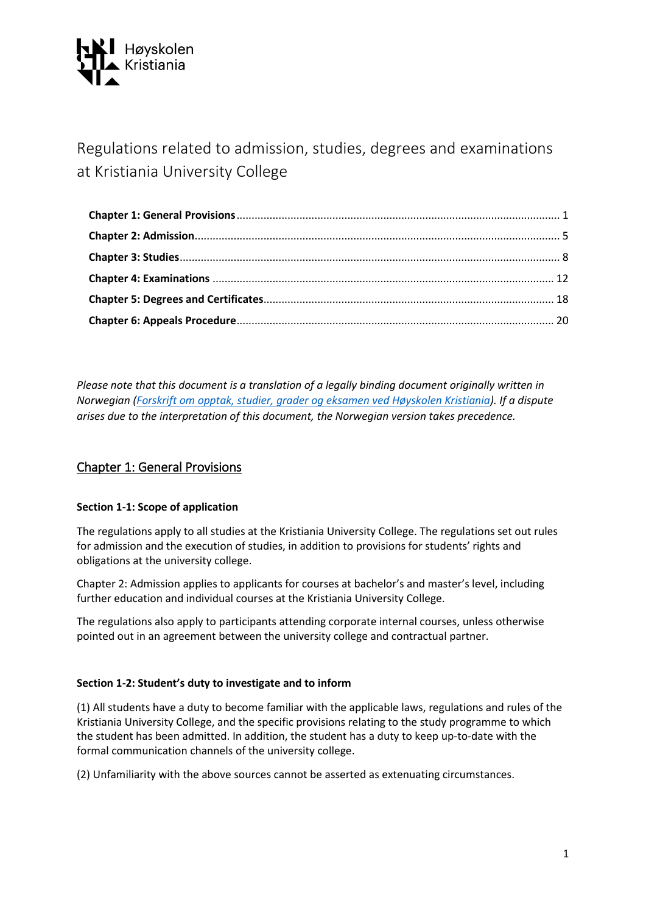

Regulations related to admission, studies, degrees and examinations at Kristiania University College

*Please note that this document is a translation of a legally binding document originally written in Norwegian [\(Forskrift om opptak, studier, grader og eksamen ved Høyskolen Kristiania\)](https://lovdata.no/dokument/SF/forskrift/2018-06-01-813/KAPITTEL_3#KAPITTEL_3). If a dispute arises due to the interpretation of this document, the Norwegian version takes precedence.*

# <span id="page-0-0"></span>Chapter 1: General Provisions

# **Section 1-1: Scope of application**

The regulations apply to all studies at the Kristiania University College. The regulations set out rules for admission and the execution of studies, in addition to provisions for students' rights and obligations at the university college.

Chapter 2: Admission applies to applicants for courses at bachelor's and master's level, including further education and individual courses at the Kristiania University College.

The regulations also apply to participants attending corporate internal courses, unless otherwise pointed out in an agreement between the university college and contractual partner.

#### **Section 1-2: Student's duty to investigate and to inform**

(1) All students have a duty to become familiar with the applicable laws, regulations and rules of the Kristiania University College, and the specific provisions relating to the study programme to which the student has been admitted. In addition, the student has a duty to keep up-to-date with the formal communication channels of the university college.

(2) Unfamiliarity with the above sources cannot be asserted as extenuating circumstances.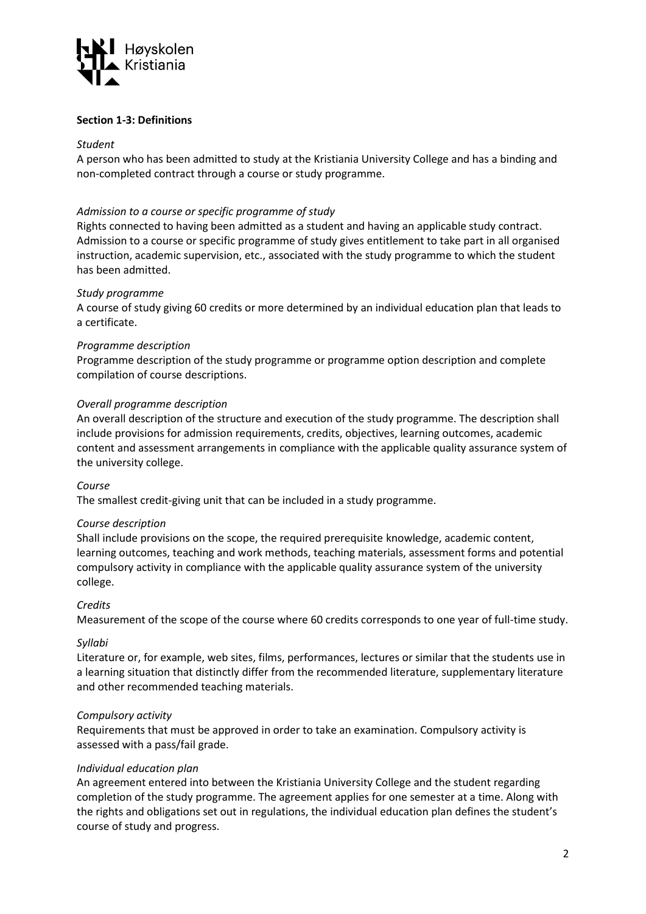

## **Section 1-3: Definitions**

#### *Student*

A person who has been admitted to study at the Kristiania University College and has a binding and non-completed contract through a course or study programme.

## *Admission to a course or specific programme of study*

Rights connected to having been admitted as a student and having an applicable study contract. Admission to a course or specific programme of study gives entitlement to take part in all organised instruction, academic supervision, etc., associated with the study programme to which the student has been admitted.

#### *Study programme*

A course of study giving 60 credits or more determined by an individual education plan that leads to a certificate.

#### *Programme description*

Programme description of the study programme or programme option description and complete compilation of course descriptions.

## *Overall programme description*

An overall description of the structure and execution of the study programme. The description shall include provisions for admission requirements, credits, objectives, learning outcomes, academic content and assessment arrangements in compliance with the applicable quality assurance system of the university college.

#### *Course*

The smallest credit-giving unit that can be included in a study programme.

#### *Course description*

Shall include provisions on the scope, the required prerequisite knowledge, academic content, learning outcomes, teaching and work methods, teaching materials, assessment forms and potential compulsory activity in compliance with the applicable quality assurance system of the university college.

# *Credits*

Measurement of the scope of the course where 60 credits corresponds to one year of full-time study.

#### *Syllabi*

Literature or, for example, web sites, films, performances, lectures or similar that the students use in a learning situation that distinctly differ from the recommended literature, supplementary literature and other recommended teaching materials.

#### *Compulsory activity*

Requirements that must be approved in order to take an examination. Compulsory activity is assessed with a pass/fail grade.

#### *Individual education plan*

An agreement entered into between the Kristiania University College and the student regarding completion of the study programme. The agreement applies for one semester at a time. Along with the rights and obligations set out in regulations, the individual education plan defines the student's course of study and progress.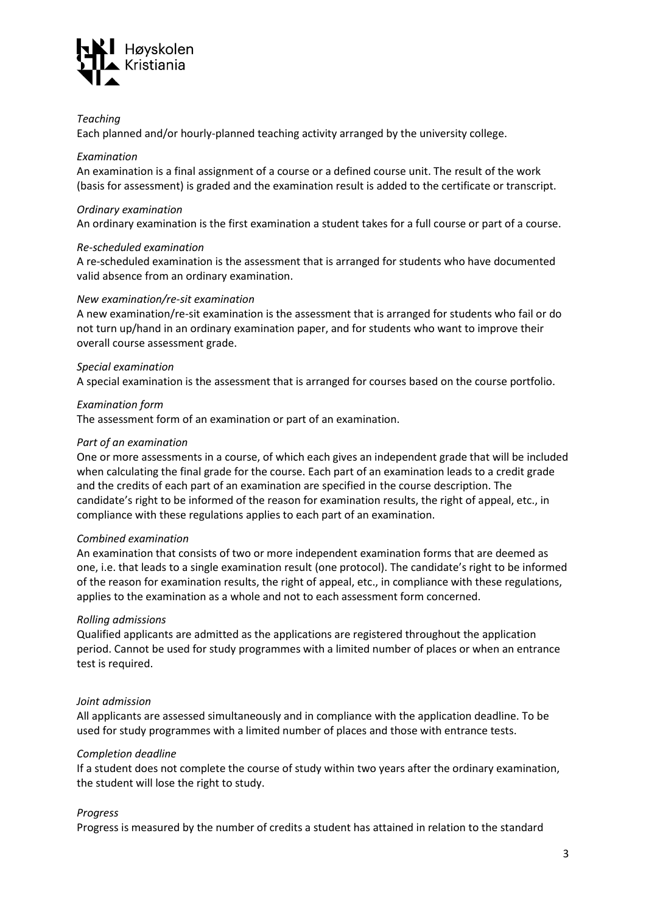

#### *Teaching*

Each planned and/or hourly-planned teaching activity arranged by the university college.

#### *Examination*

An examination is a final assignment of a course or a defined course unit. The result of the work (basis for assessment) is graded and the examination result is added to the certificate or transcript.

#### *Ordinary examination*

An ordinary examination is the first examination a student takes for a full course or part of a course.

#### *Re-scheduled examination*

A re-scheduled examination is the assessment that is arranged for students who have documented valid absence from an ordinary examination.

#### *New examination/re-sit examination*

A new examination/re-sit examination is the assessment that is arranged for students who fail or do not turn up/hand in an ordinary examination paper, and for students who want to improve their overall course assessment grade.

#### *Special examination*

A special examination is the assessment that is arranged for courses based on the course portfolio.

#### *Examination form*

The assessment form of an examination or part of an examination.

#### *Part of an examination*

One or more assessments in a course, of which each gives an independent grade that will be included when calculating the final grade for the course. Each part of an examination leads to a credit grade and the credits of each part of an examination are specified in the course description. The candidate's right to be informed of the reason for examination results, the right of appeal, etc., in compliance with these regulations applies to each part of an examination.

#### *Combined examination*

An examination that consists of two or more independent examination forms that are deemed as one, i.e. that leads to a single examination result (one protocol). The candidate's right to be informed of the reason for examination results, the right of appeal, etc., in compliance with these regulations, applies to the examination as a whole and not to each assessment form concerned.

#### *Rolling admissions*

Qualified applicants are admitted as the applications are registered throughout the application period. Cannot be used for study programmes with a limited number of places or when an entrance test is required.

#### *Joint admission*

All applicants are assessed simultaneously and in compliance with the application deadline. To be used for study programmes with a limited number of places and those with entrance tests.

#### *Completion deadline*

If a student does not complete the course of study within two years after the ordinary examination, the student will lose the right to study.

#### *Progress*

Progress is measured by the number of credits a student has attained in relation to the standard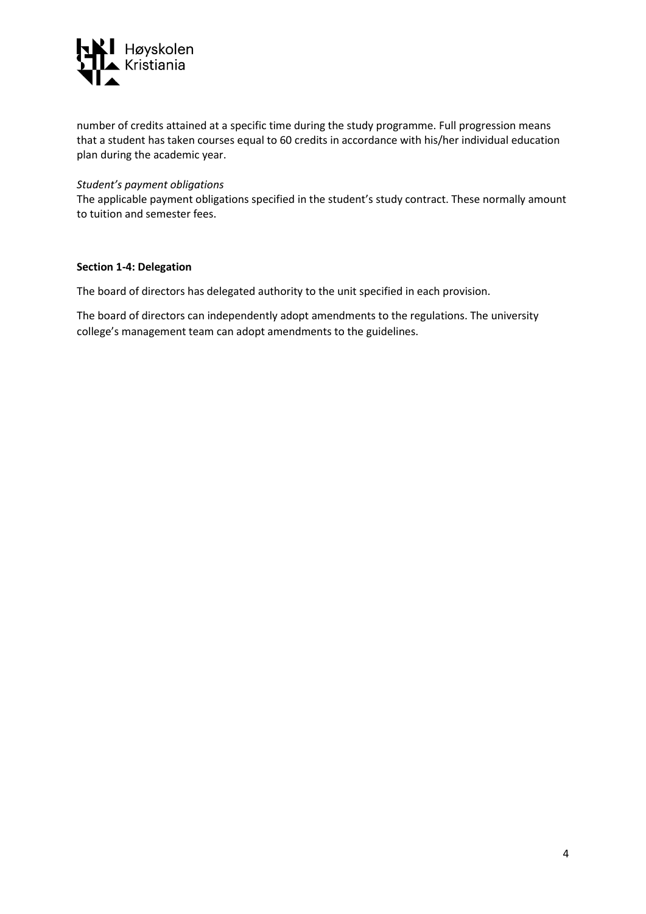

number of credits attained at a specific time during the study programme. Full progression means that a student has taken courses equal to 60 credits in accordance with his/her individual education plan during the academic year.

#### *Student's payment obligations*

The applicable payment obligations specified in the student's study contract. These normally amount to tuition and semester fees.

#### **Section 1-4: Delegation**

The board of directors has delegated authority to the unit specified in each provision.

The board of directors can independently adopt amendments to the regulations. The university college's management team can adopt amendments to the guidelines.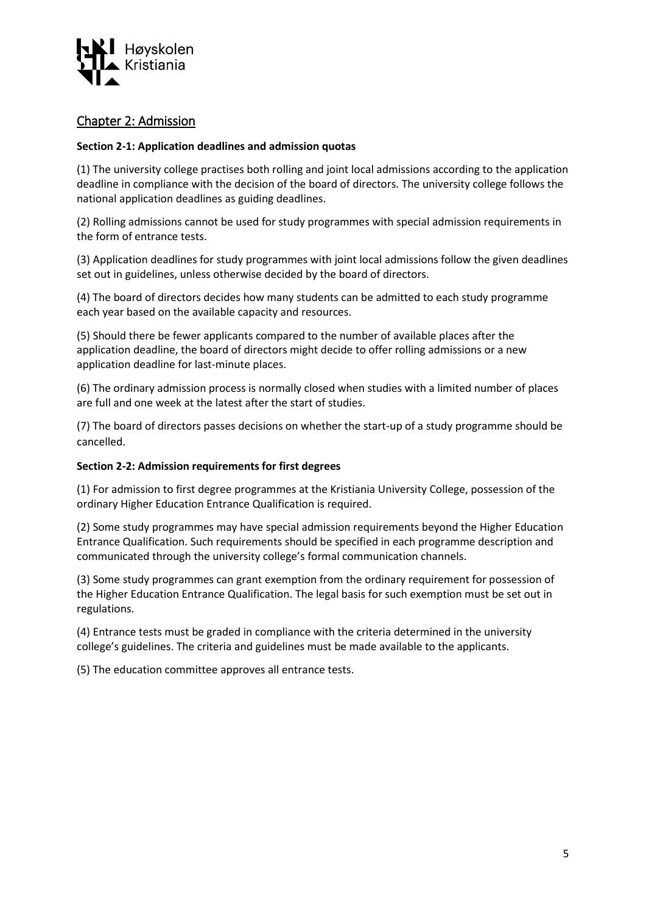

# <span id="page-4-0"></span>Chapter 2: Admission

# **Section 2-1: Application deadlines and admission quotas**

(1) The university college practises both rolling and joint local admissions according to the application deadline in compliance with the decision of the board of directors. The university college follows the national application deadlines as guiding deadlines.

(2) Rolling admissions cannot be used for study programmes with special admission requirements in the form of entrance tests.

(3) Application deadlines for study programmes with joint local admissions follow the given deadlines set out in guidelines, unless otherwise decided by the board of directors.

(4) The board of directors decides how many students can be admitted to each study programme each year based on the available capacity and resources.

(5) Should there be fewer applicants compared to the number of available places after the application deadline, the board of directors might decide to offer rolling admissions or a new application deadline for last-minute places.

(6) The ordinary admission process is normally closed when studies with a limited number of places are full and one week at the latest after the start of studies.

(7) The board of directors passes decisions on whether the start-up of a study programme should be cancelled.

#### **Section 2-2: Admission requirements for first degrees**

(1) For admission to first degree programmes at the Kristiania University College, possession of the ordinary Higher Education Entrance Qualification is required.

(2) Some study programmes may have special admission requirements beyond the Higher Education Entrance Qualification. Such requirements should be specified in each programme description and communicated through the university college's formal communication channels.

(3) Some study programmes can grant exemption from the ordinary requirement for possession of the Higher Education Entrance Qualification. The legal basis for such exemption must be set out in regulations.

(4) Entrance tests must be graded in compliance with the criteria determined in the university college's guidelines. The criteria and guidelines must be made available to the applicants.

(5) The education committee approves all entrance tests.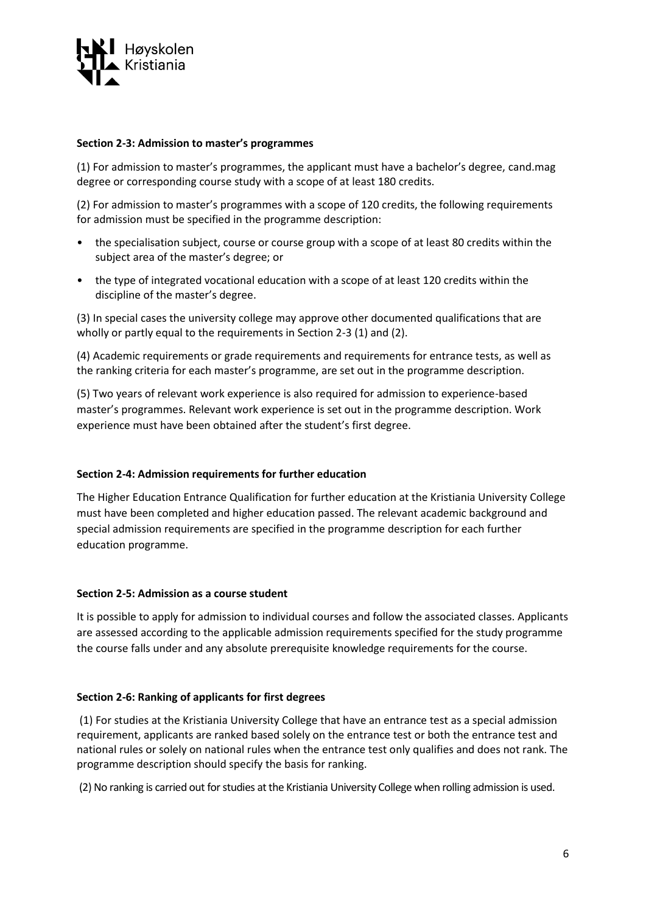

### **Section 2-3: Admission to master's programmes**

(1) For admission to master's programmes, the applicant must have a bachelor's degree, cand.mag degree or corresponding course study with a scope of at least 180 credits.

(2) For admission to master's programmes with a scope of 120 credits, the following requirements for admission must be specified in the programme description:

- the specialisation subject, course or course group with a scope of at least 80 credits within the subject area of the master's degree; or
- the type of integrated vocational education with a scope of at least 120 credits within the discipline of the master's degree.

(3) In special cases the university college may approve other documented qualifications that are wholly or partly equal to the requirements in Section 2-3 (1) and (2).

(4) Academic requirements or grade requirements and requirements for entrance tests, as well as the ranking criteria for each master's programme, are set out in the programme description.

(5) Two years of relevant work experience is also required for admission to experience-based master's programmes. Relevant work experience is set out in the programme description. Work experience must have been obtained after the student's first degree.

#### **Section 2-4: Admission requirements for further education**

The Higher Education Entrance Qualification for further education at the Kristiania University College must have been completed and higher education passed. The relevant academic background and special admission requirements are specified in the programme description for each further education programme.

#### **Section 2-5: Admission as a course student**

It is possible to apply for admission to individual courses and follow the associated classes. Applicants are assessed according to the applicable admission requirements specified for the study programme the course falls under and any absolute prerequisite knowledge requirements for the course.

#### **Section 2-6: Ranking of applicants for first degrees**

(1) For studies at the Kristiania University College that have an entrance test as a special admission requirement, applicants are ranked based solely on the entrance test or both the entrance test and national rules or solely on national rules when the entrance test only qualifies and does not rank. The programme description should specify the basis for ranking.

(2) No ranking is carried out for studies at the Kristiania University College when rolling admission is used.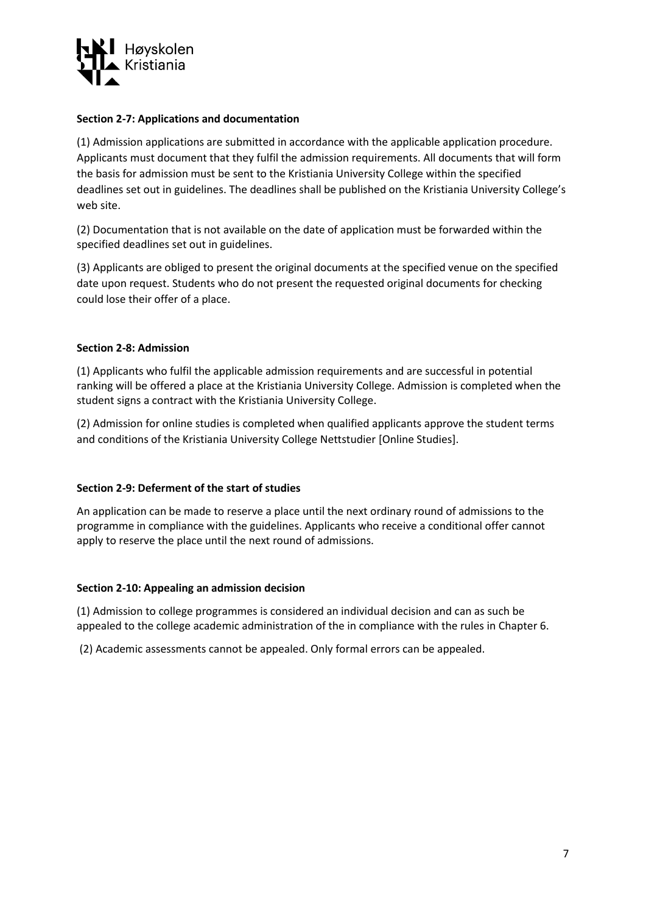

## **Section 2-7: Applications and documentation**

(1) Admission applications are submitted in accordance with the applicable application procedure. Applicants must document that they fulfil the admission requirements. All documents that will form the basis for admission must be sent to the Kristiania University College within the specified deadlines set out in guidelines. The deadlines shall be published on the Kristiania University College's web site.

(2) Documentation that is not available on the date of application must be forwarded within the specified deadlines set out in guidelines.

(3) Applicants are obliged to present the original documents at the specified venue on the specified date upon request. Students who do not present the requested original documents for checking could lose their offer of a place.

#### **Section 2-8: Admission**

(1) Applicants who fulfil the applicable admission requirements and are successful in potential ranking will be offered a place at the Kristiania University College. Admission is completed when the student signs a contract with the Kristiania University College.

(2) Admission for online studies is completed when qualified applicants approve the student terms and conditions of the Kristiania University College Nettstudier [Online Studies].

#### **Section 2-9: Deferment of the start of studies**

An application can be made to reserve a place until the next ordinary round of admissions to the programme in compliance with the guidelines. Applicants who receive a conditional offer cannot apply to reserve the place until the next round of admissions.

#### **Section 2-10: Appealing an admission decision**

(1) Admission to college programmes is considered an individual decision and can as such be appealed to the college academic administration of the in compliance with the rules in Chapter 6.

(2) Academic assessments cannot be appealed. Only formal errors can be appealed.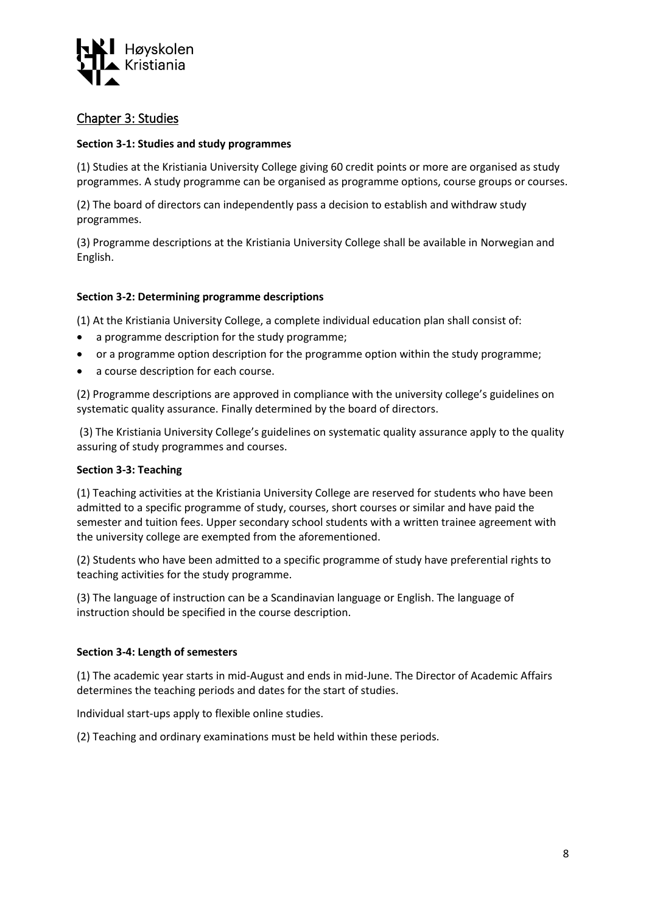

# <span id="page-7-0"></span>Chapter 3: Studies

## **Section 3-1: Studies and study programmes**

(1) Studies at the Kristiania University College giving 60 credit points or more are organised as study programmes. A study programme can be organised as programme options, course groups or courses.

(2) The board of directors can independently pass a decision to establish and withdraw study programmes.

(3) Programme descriptions at the Kristiania University College shall be available in Norwegian and English.

## **Section 3-2: Determining programme descriptions**

(1) At the Kristiania University College, a complete individual education plan shall consist of:

- a programme description for the study programme;
- or a programme option description for the programme option within the study programme;
- a course description for each course.

(2) Programme descriptions are approved in compliance with the university college's guidelines on systematic quality assurance. Finally determined by the board of directors.

(3) The Kristiania University College's guidelines on systematic quality assurance apply to the quality assuring of study programmes and courses.

#### **Section 3-3: Teaching**

(1) Teaching activities at the Kristiania University College are reserved for students who have been admitted to a specific programme of study, courses, short courses or similar and have paid the semester and tuition fees. Upper secondary school students with a written trainee agreement with the university college are exempted from the aforementioned.

(2) Students who have been admitted to a specific programme of study have preferential rights to teaching activities for the study programme.

(3) The language of instruction can be a Scandinavian language or English. The language of instruction should be specified in the course description.

#### **Section 3-4: Length of semesters**

(1) The academic year starts in mid-August and ends in mid-June. The Director of Academic Affairs determines the teaching periods and dates for the start of studies.

Individual start-ups apply to flexible online studies.

(2) Teaching and ordinary examinations must be held within these periods.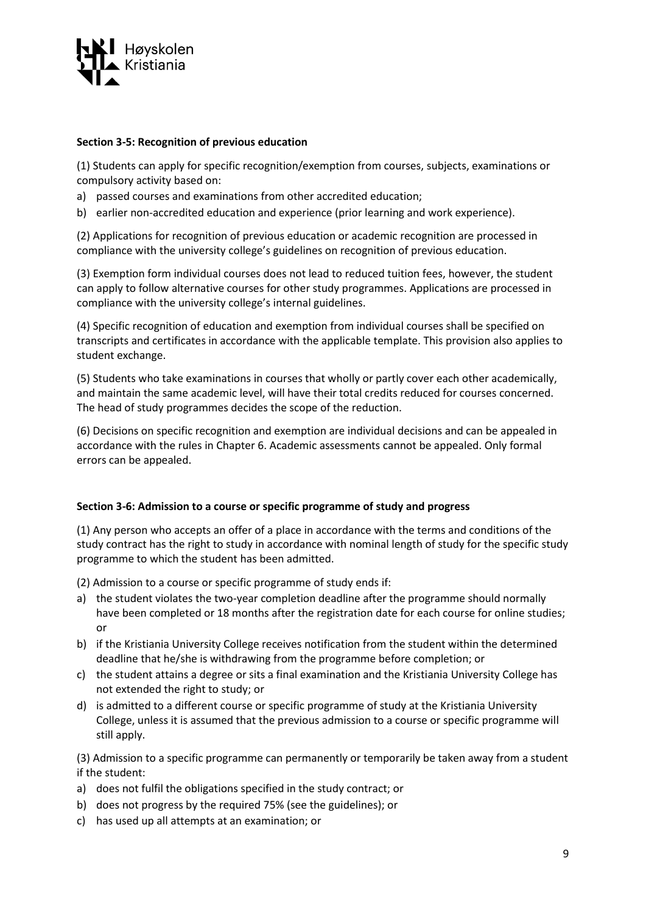

### **Section 3-5: Recognition of previous education**

(1) Students can apply for specific recognition/exemption from courses, subjects, examinations or compulsory activity based on:

- a) passed courses and examinations from other accredited education;
- b) earlier non-accredited education and experience (prior learning and work experience).

(2) Applications for recognition of previous education or academic recognition are processed in compliance with the university college's guidelines on recognition of previous education.

(3) Exemption form individual courses does not lead to reduced tuition fees, however, the student can apply to follow alternative courses for other study programmes. Applications are processed in compliance with the university college's internal guidelines.

(4) Specific recognition of education and exemption from individual courses shall be specified on transcripts and certificates in accordance with the applicable template. This provision also applies to student exchange.

(5) Students who take examinations in courses that wholly or partly cover each other academically, and maintain the same academic level, will have their total credits reduced for courses concerned. The head of study programmes decides the scope of the reduction.

(6) Decisions on specific recognition and exemption are individual decisions and can be appealed in accordance with the rules in Chapter 6. Academic assessments cannot be appealed. Only formal errors can be appealed.

# **Section 3-6: Admission to a course or specific programme of study and progress**

(1) Any person who accepts an offer of a place in accordance with the terms and conditions of the study contract has the right to study in accordance with nominal length of study for the specific study programme to which the student has been admitted.

(2) Admission to a course or specific programme of study ends if:

- a) the student violates the two-year completion deadline after the programme should normally have been completed or 18 months after the registration date for each course for online studies; or
- b) if the Kristiania University College receives notification from the student within the determined deadline that he/she is withdrawing from the programme before completion; or
- c) the student attains a degree or sits a final examination and the Kristiania University College has not extended the right to study; or
- d) is admitted to a different course or specific programme of study at the Kristiania University College, unless it is assumed that the previous admission to a course or specific programme will still apply.

(3) Admission to a specific programme can permanently or temporarily be taken away from a student if the student:

- a) does not fulfil the obligations specified in the study contract; or
- b) does not progress by the required 75% (see the guidelines); or
- c) has used up all attempts at an examination; or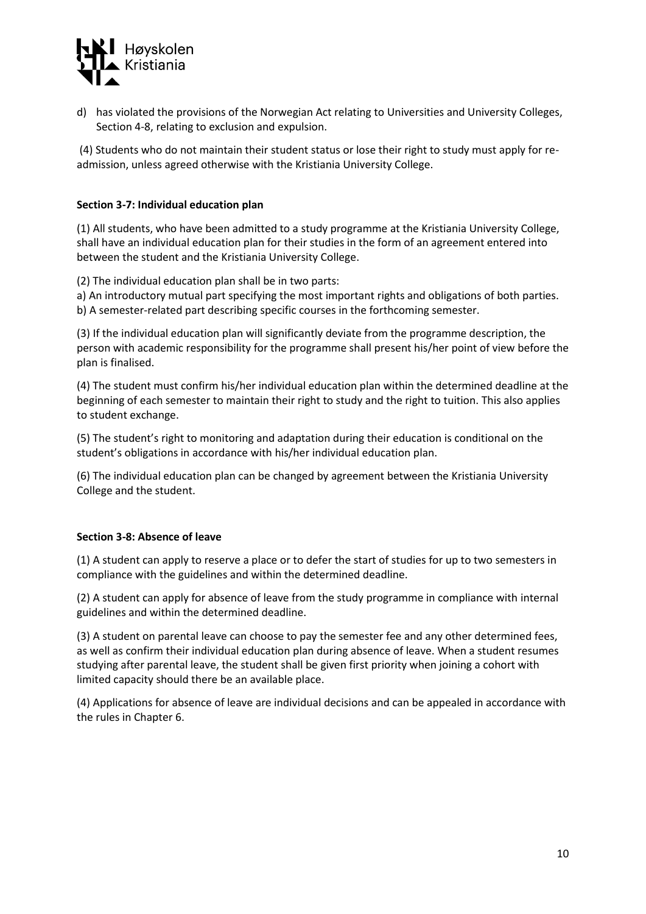

d) has violated the provisions of the Norwegian Act relating to Universities and University Colleges, Section 4-8, relating to exclusion and expulsion.

(4) Students who do not maintain their student status or lose their right to study must apply for readmission, unless agreed otherwise with the Kristiania University College.

### **Section 3-7: Individual education plan**

(1) All students, who have been admitted to a study programme at the Kristiania University College, shall have an individual education plan for their studies in the form of an agreement entered into between the student and the Kristiania University College.

(2) The individual education plan shall be in two parts:

a) An introductory mutual part specifying the most important rights and obligations of both parties. b) A semester-related part describing specific courses in the forthcoming semester.

(3) If the individual education plan will significantly deviate from the programme description, the person with academic responsibility for the programme shall present his/her point of view before the plan is finalised.

(4) The student must confirm his/her individual education plan within the determined deadline at the beginning of each semester to maintain their right to study and the right to tuition. This also applies to student exchange.

(5) The student's right to monitoring and adaptation during their education is conditional on the student's obligations in accordance with his/her individual education plan.

(6) The individual education plan can be changed by agreement between the Kristiania University College and the student.

#### **Section 3-8: Absence of leave**

(1) A student can apply to reserve a place or to defer the start of studies for up to two semesters in compliance with the guidelines and within the determined deadline.

(2) A student can apply for absence of leave from the study programme in compliance with internal guidelines and within the determined deadline.

(3) A student on parental leave can choose to pay the semester fee and any other determined fees, as well as confirm their individual education plan during absence of leave. When a student resumes studying after parental leave, the student shall be given first priority when joining a cohort with limited capacity should there be an available place.

(4) Applications for absence of leave are individual decisions and can be appealed in accordance with the rules in Chapter 6.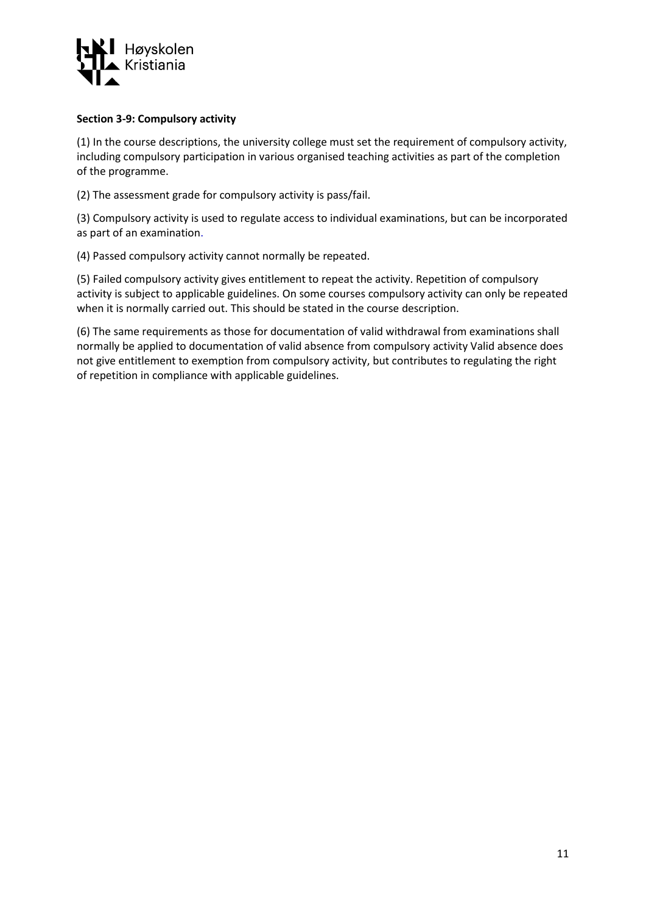

### **Section 3-9: Compulsory activity**

(1) In the course descriptions, the university college must set the requirement of compulsory activity, including compulsory participation in various organised teaching activities as part of the completion of the programme.

(2) The assessment grade for compulsory activity is pass/fail.

(3) Compulsory activity is used to regulate access to individual examinations, but can be incorporated as part of an examination.

(4) Passed compulsory activity cannot normally be repeated.

(5) Failed compulsory activity gives entitlement to repeat the activity. Repetition of compulsory activity is subject to applicable guidelines. On some courses compulsory activity can only be repeated when it is normally carried out. This should be stated in the course description.

(6) The same requirements as those for documentation of valid withdrawal from examinations shall normally be applied to documentation of valid absence from compulsory activity Valid absence does not give entitlement to exemption from compulsory activity, but contributes to regulating the right of repetition in compliance with applicable guidelines.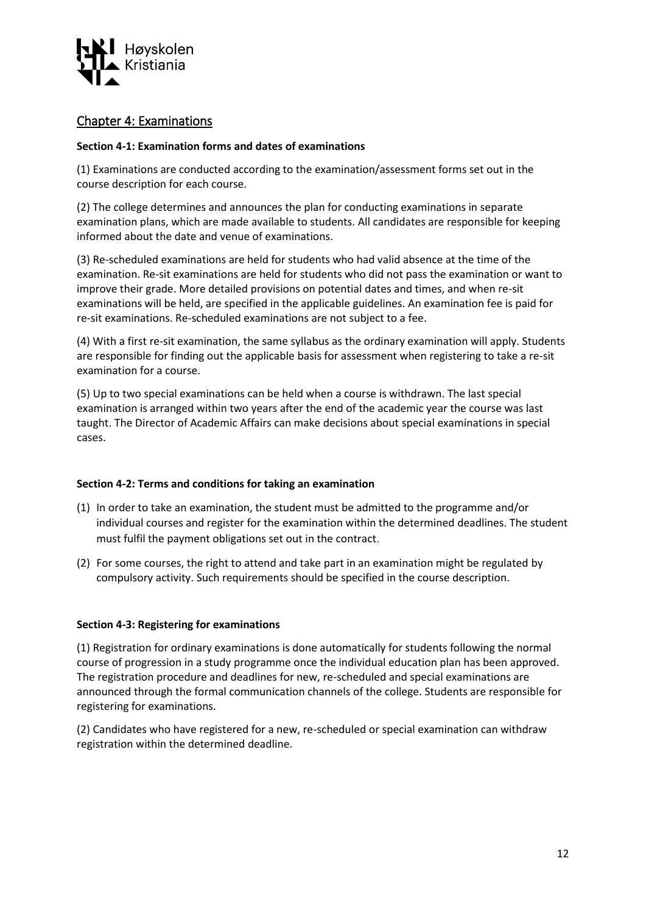

# <span id="page-11-0"></span>Chapter 4: Examinations

### **Section 4-1: Examination forms and dates of examinations**

(1) Examinations are conducted according to the examination/assessment forms set out in the course description for each course.

(2) The college determines and announces the plan for conducting examinations in separate examination plans, which are made available to students. All candidates are responsible for keeping informed about the date and venue of examinations.

(3) Re-scheduled examinations are held for students who had valid absence at the time of the examination. Re-sit examinations are held for students who did not pass the examination or want to improve their grade. More detailed provisions on potential dates and times, and when re-sit examinations will be held, are specified in the applicable guidelines. An examination fee is paid for re-sit examinations. Re-scheduled examinations are not subject to a fee.

(4) With a first re-sit examination, the same syllabus as the ordinary examination will apply. Students are responsible for finding out the applicable basis for assessment when registering to take a re-sit examination for a course.

(5) Up to two special examinations can be held when a course is withdrawn. The last special examination is arranged within two years after the end of the academic year the course was last taught. The Director of Academic Affairs can make decisions about special examinations in special cases.

#### **Section 4-2: Terms and conditions for taking an examination**

- (1) In order to take an examination, the student must be admitted to the programme and/or individual courses and register for the examination within the determined deadlines. The student must fulfil the payment obligations set out in the contract.
- (2) For some courses, the right to attend and take part in an examination might be regulated by compulsory activity. Such requirements should be specified in the course description.

#### **Section 4-3: Registering for examinations**

(1) Registration for ordinary examinations is done automatically for students following the normal course of progression in a study programme once the individual education plan has been approved. The registration procedure and deadlines for new, re-scheduled and special examinations are announced through the formal communication channels of the college. Students are responsible for registering for examinations.

(2) Candidates who have registered for a new, re-scheduled or special examination can withdraw registration within the determined deadline.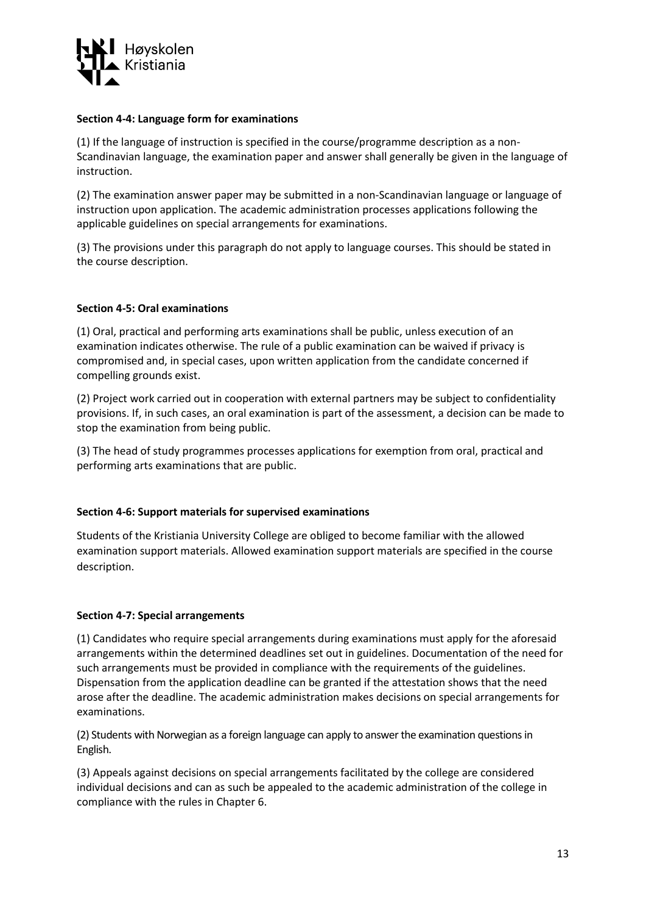

#### **Section 4-4: Language form for examinations**

(1) If the language of instruction is specified in the course/programme description as a non-Scandinavian language, the examination paper and answer shall generally be given in the language of instruction.

(2) The examination answer paper may be submitted in a non-Scandinavian language or language of instruction upon application. The academic administration processes applications following the applicable guidelines on special arrangements for examinations.

(3) The provisions under this paragraph do not apply to language courses. This should be stated in the course description.

## **Section 4-5: Oral examinations**

(1) Oral, practical and performing arts examinations shall be public, unless execution of an examination indicates otherwise. The rule of a public examination can be waived if privacy is compromised and, in special cases, upon written application from the candidate concerned if compelling grounds exist.

(2) Project work carried out in cooperation with external partners may be subject to confidentiality provisions. If, in such cases, an oral examination is part of the assessment, a decision can be made to stop the examination from being public.

(3) The head of study programmes processes applications for exemption from oral, practical and performing arts examinations that are public.

#### **Section 4-6: Support materials for supervised examinations**

Students of the Kristiania University College are obliged to become familiar with the allowed examination support materials. Allowed examination support materials are specified in the course description.

#### **Section 4-7: Special arrangements**

(1) Candidates who require special arrangements during examinations must apply for the aforesaid arrangements within the determined deadlines set out in guidelines. Documentation of the need for such arrangements must be provided in compliance with the requirements of the guidelines. Dispensation from the application deadline can be granted if the attestation shows that the need arose after the deadline. The academic administration makes decisions on special arrangements for examinations.

(2) Students with Norwegian as a foreign language can apply to answer the examination questions in English.

(3) Appeals against decisions on special arrangements facilitated by the college are considered individual decisions and can as such be appealed to the academic administration of the college in compliance with the rules in Chapter 6.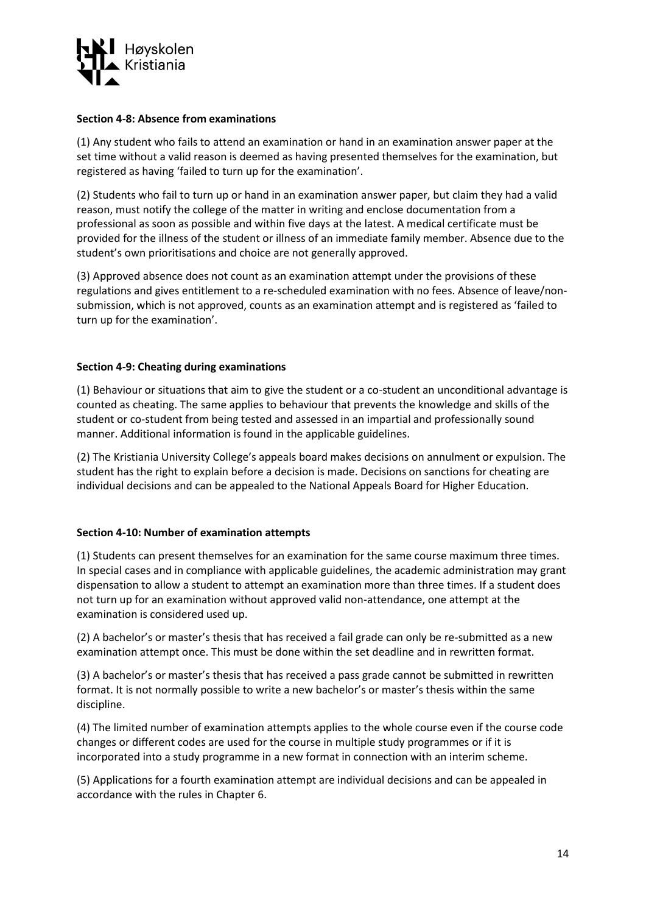

#### **Section 4-8: Absence from examinations**

(1) Any student who fails to attend an examination or hand in an examination answer paper at the set time without a valid reason is deemed as having presented themselves for the examination, but registered as having 'failed to turn up for the examination'.

(2) Students who fail to turn up or hand in an examination answer paper, but claim they had a valid reason, must notify the college of the matter in writing and enclose documentation from a professional as soon as possible and within five days at the latest. A medical certificate must be provided for the illness of the student or illness of an immediate family member. Absence due to the student's own prioritisations and choice are not generally approved.

(3) Approved absence does not count as an examination attempt under the provisions of these regulations and gives entitlement to a re-scheduled examination with no fees. Absence of leave/nonsubmission, which is not approved, counts as an examination attempt and is registered as 'failed to turn up for the examination'.

#### **Section 4-9: Cheating during examinations**

(1) Behaviour or situations that aim to give the student or a co-student an unconditional advantage is counted as cheating. The same applies to behaviour that prevents the knowledge and skills of the student or co-student from being tested and assessed in an impartial and professionally sound manner. Additional information is found in the applicable guidelines.

(2) The Kristiania University College's appeals board makes decisions on annulment or expulsion. The student has the right to explain before a decision is made. Decisions on sanctions for cheating are individual decisions and can be appealed to the National Appeals Board for Higher Education.

#### **Section 4-10: Number of examination attempts**

(1) Students can present themselves for an examination for the same course maximum three times. In special cases and in compliance with applicable guidelines, the academic administration may grant dispensation to allow a student to attempt an examination more than three times. If a student does not turn up for an examination without approved valid non-attendance, one attempt at the examination is considered used up.

(2) A bachelor's or master's thesis that has received a fail grade can only be re-submitted as a new examination attempt once. This must be done within the set deadline and in rewritten format.

(3) A bachelor's or master's thesis that has received a pass grade cannot be submitted in rewritten format. It is not normally possible to write a new bachelor's or master's thesis within the same discipline.

(4) The limited number of examination attempts applies to the whole course even if the course code changes or different codes are used for the course in multiple study programmes or if it is incorporated into a study programme in a new format in connection with an interim scheme.

(5) Applications for a fourth examination attempt are individual decisions and can be appealed in accordance with the rules in Chapter 6.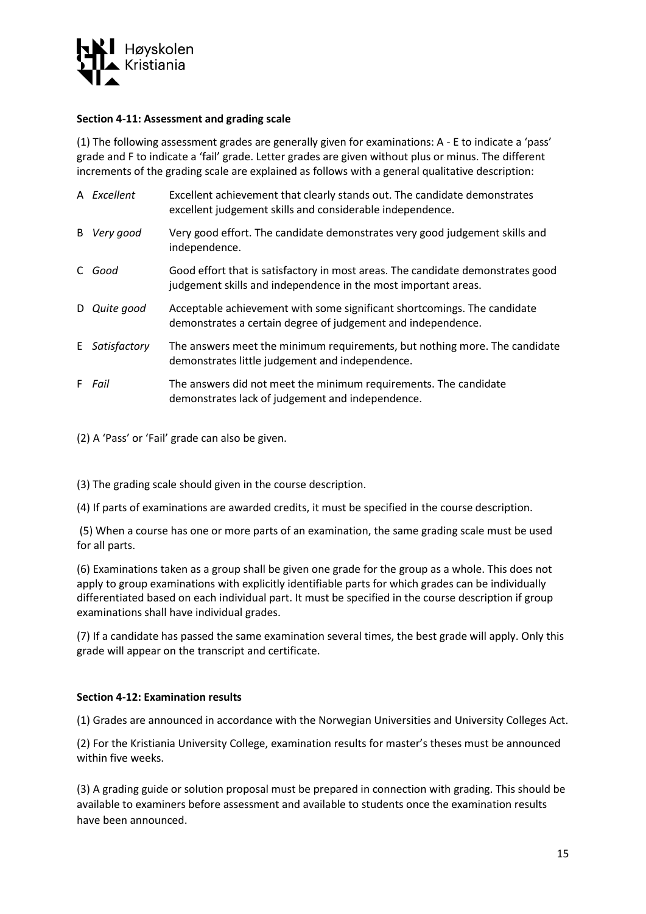

### **Section 4-11: Assessment and grading scale**

(1) The following assessment grades are generally given for examinations: A - E to indicate a 'pass' grade and F to indicate a 'fail' grade. Letter grades are given without plus or minus. The different increments of the grading scale are explained as follows with a general qualitative description:

| A Excellent    | Excellent achievement that clearly stands out. The candidate demonstrates<br>excellent judgement skills and considerable independence.            |
|----------------|---------------------------------------------------------------------------------------------------------------------------------------------------|
| B Very good    | Very good effort. The candidate demonstrates very good judgement skills and<br>independence.                                                      |
| C Good         | Good effort that is satisfactory in most areas. The candidate demonstrates good<br>judgement skills and independence in the most important areas. |
| D Quite good   | Acceptable achievement with some significant shortcomings. The candidate<br>demonstrates a certain degree of judgement and independence.          |
| E Satisfactory | The answers meet the minimum requirements, but nothing more. The candidate<br>demonstrates little judgement and independence.                     |
| F <i>Fail</i>  | The answers did not meet the minimum requirements. The candidate<br>demonstrates lack of judgement and independence.                              |

(2) A 'Pass' or 'Fail' grade can also be given.

(3) The grading scale should given in the course description.

(4) If parts of examinations are awarded credits, it must be specified in the course description.

(5) When a course has one or more parts of an examination, the same grading scale must be used for all parts.

(6) Examinations taken as a group shall be given one grade for the group as a whole. This does not apply to group examinations with explicitly identifiable parts for which grades can be individually differentiated based on each individual part. It must be specified in the course description if group examinations shall have individual grades.

(7) If a candidate has passed the same examination several times, the best grade will apply. Only this grade will appear on the transcript and certificate.

# **Section 4-12: Examination results**

(1) Grades are announced in accordance with the Norwegian Universities and University Colleges Act.

(2) For the Kristiania University College, examination results for master's theses must be announced within five weeks.

(3) A grading guide or solution proposal must be prepared in connection with grading. This should be available to examiners before assessment and available to students once the examination results have been announced.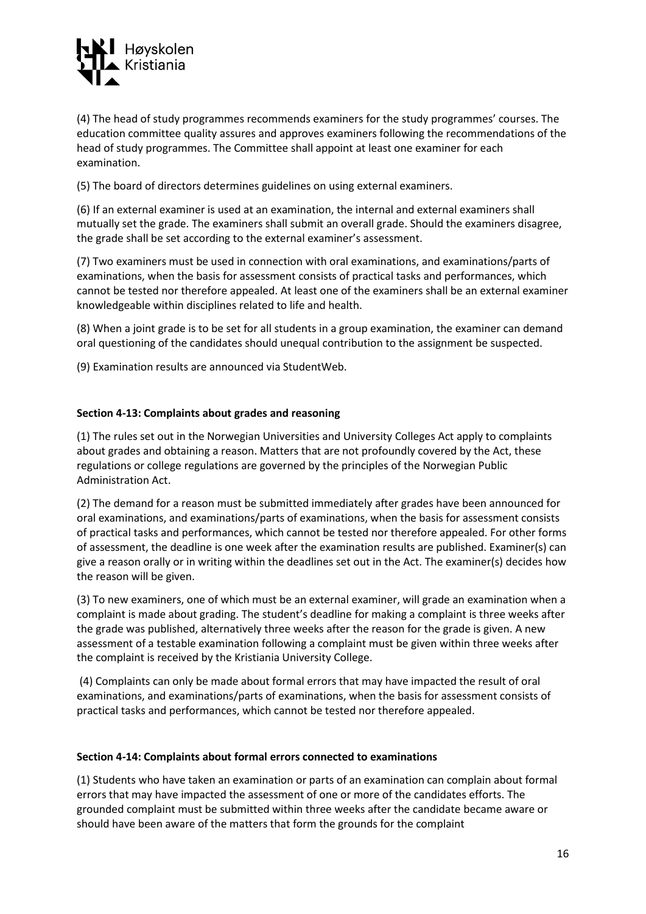

(4) The head of study programmes recommends examiners for the study programmes' courses. The education committee quality assures and approves examiners following the recommendations of the head of study programmes. The Committee shall appoint at least one examiner for each examination.

(5) The board of directors determines guidelines on using external examiners.

(6) If an external examiner is used at an examination, the internal and external examiners shall mutually set the grade. The examiners shall submit an overall grade. Should the examiners disagree, the grade shall be set according to the external examiner's assessment.

(7) Two examiners must be used in connection with oral examinations, and examinations/parts of examinations, when the basis for assessment consists of practical tasks and performances, which cannot be tested nor therefore appealed. At least one of the examiners shall be an external examiner knowledgeable within disciplines related to life and health.

(8) When a joint grade is to be set for all students in a group examination, the examiner can demand oral questioning of the candidates should unequal contribution to the assignment be suspected.

(9) Examination results are announced via StudentWeb.

#### **Section 4-13: Complaints about grades and reasoning**

(1) The rules set out in the Norwegian Universities and University Colleges Act apply to complaints about grades and obtaining a reason. Matters that are not profoundly covered by the Act, these regulations or college regulations are governed by the principles of the Norwegian Public Administration Act.

(2) The demand for a reason must be submitted immediately after grades have been announced for oral examinations, and examinations/parts of examinations, when the basis for assessment consists of practical tasks and performances, which cannot be tested nor therefore appealed. For other forms of assessment, the deadline is one week after the examination results are published. Examiner(s) can give a reason orally or in writing within the deadlines set out in the Act. The examiner(s) decides how the reason will be given.

(3) To new examiners, one of which must be an external examiner, will grade an examination when a complaint is made about grading. The student's deadline for making a complaint is three weeks after the grade was published, alternatively three weeks after the reason for the grade is given. A new assessment of a testable examination following a complaint must be given within three weeks after the complaint is received by the Kristiania University College.

(4) Complaints can only be made about formal errors that may have impacted the result of oral examinations, and examinations/parts of examinations, when the basis for assessment consists of practical tasks and performances, which cannot be tested nor therefore appealed.

#### **Section 4-14: Complaints about formal errors connected to examinations**

(1) Students who have taken an examination or parts of an examination can complain about formal errors that may have impacted the assessment of one or more of the candidates efforts. The grounded complaint must be submitted within three weeks after the candidate became aware or should have been aware of the matters that form the grounds for the complaint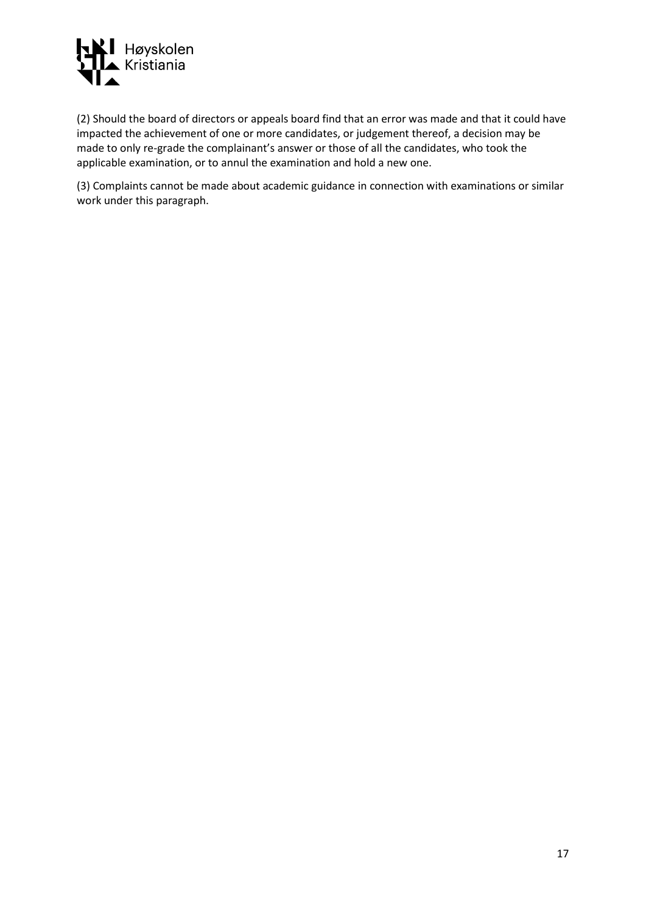

(2) Should the board of directors or appeals board find that an error was made and that it could have impacted the achievement of one or more candidates, or judgement thereof, a decision may be made to only re-grade the complainant's answer or those of all the candidates, who took the applicable examination, or to annul the examination and hold a new one.

(3) Complaints cannot be made about academic guidance in connection with examinations or similar work under this paragraph.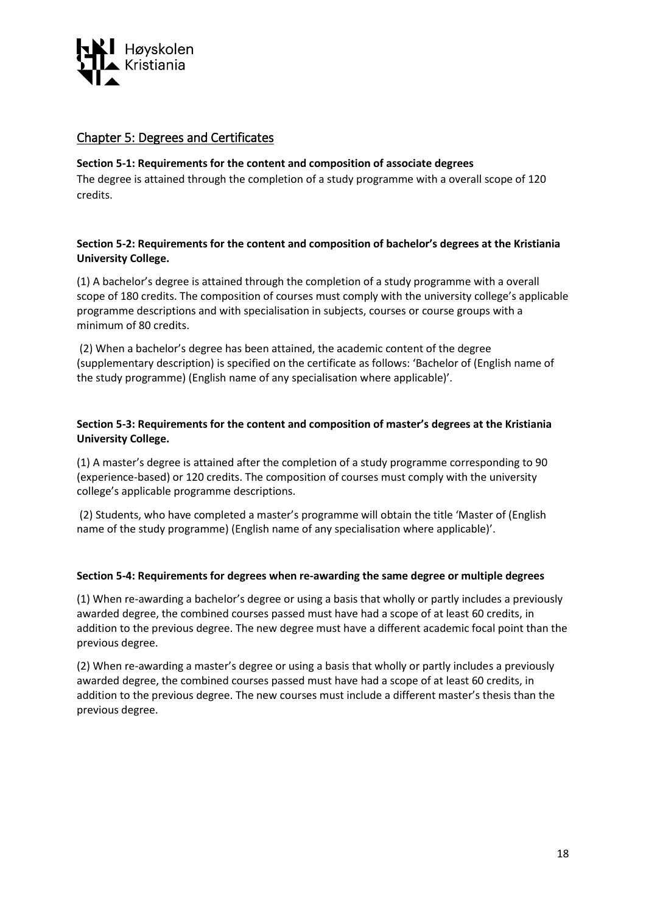

# <span id="page-17-0"></span>Chapter 5: Degrees and Certificates

## **Section 5-1: Requirements for the content and composition of associate degrees**

The degree is attained through the completion of a study programme with a overall scope of 120 credits.

# **Section 5-2: Requirements for the content and composition of bachelor's degrees at the Kristiania University College.**

(1) A bachelor's degree is attained through the completion of a study programme with a overall scope of 180 credits. The composition of courses must comply with the university college's applicable programme descriptions and with specialisation in subjects, courses or course groups with a minimum of 80 credits.

(2) When a bachelor's degree has been attained, the academic content of the degree (supplementary description) is specified on the certificate as follows: 'Bachelor of (English name of the study programme) (English name of any specialisation where applicable)'.

## **Section 5-3: Requirements for the content and composition of master's degrees at the Kristiania University College.**

(1) A master's degree is attained after the completion of a study programme corresponding to 90 (experience-based) or 120 credits. The composition of courses must comply with the university college's applicable programme descriptions.

(2) Students, who have completed a master's programme will obtain the title 'Master of (English name of the study programme) (English name of any specialisation where applicable)'.

#### **Section 5-4: Requirements for degrees when re-awarding the same degree or multiple degrees**

(1) When re-awarding a bachelor's degree or using a basis that wholly or partly includes a previously awarded degree, the combined courses passed must have had a scope of at least 60 credits, in addition to the previous degree. The new degree must have a different academic focal point than the previous degree.

(2) When re-awarding a master's degree or using a basis that wholly or partly includes a previously awarded degree, the combined courses passed must have had a scope of at least 60 credits, in addition to the previous degree. The new courses must include a different master's thesis than the previous degree.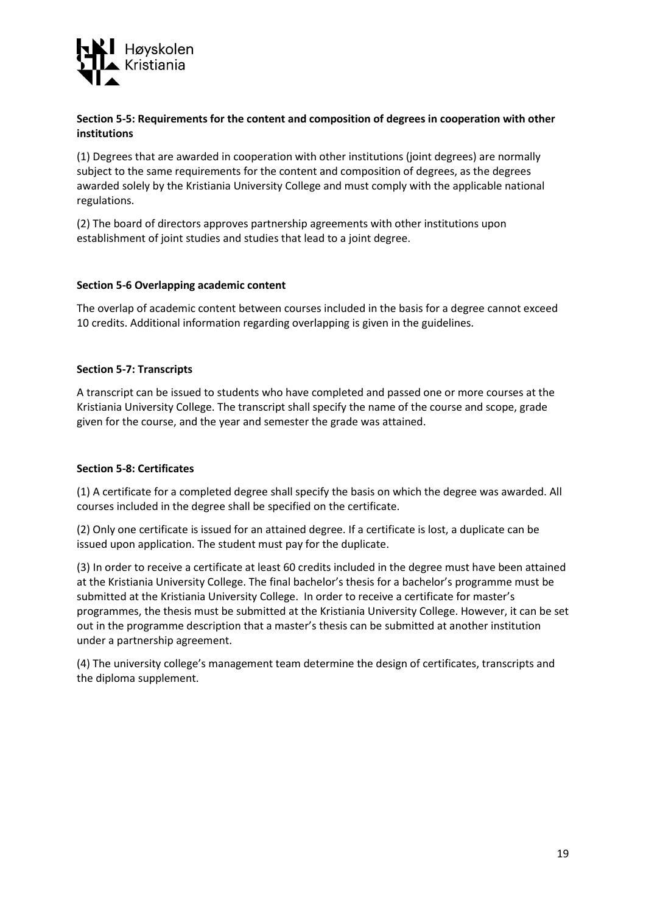

## **Section 5-5: Requirements for the content and composition of degrees in cooperation with other institutions**

(1) Degrees that are awarded in cooperation with other institutions (joint degrees) are normally subject to the same requirements for the content and composition of degrees, as the degrees awarded solely by the Kristiania University College and must comply with the applicable national regulations.

(2) The board of directors approves partnership agreements with other institutions upon establishment of joint studies and studies that lead to a joint degree.

## **Section 5-6 Overlapping academic content**

The overlap of academic content between courses included in the basis for a degree cannot exceed 10 credits. Additional information regarding overlapping is given in the guidelines.

## **Section 5-7: Transcripts**

A transcript can be issued to students who have completed and passed one or more courses at the Kristiania University College. The transcript shall specify the name of the course and scope, grade given for the course, and the year and semester the grade was attained.

# **Section 5-8: Certificates**

(1) A certificate for a completed degree shall specify the basis on which the degree was awarded. All courses included in the degree shall be specified on the certificate.

(2) Only one certificate is issued for an attained degree. If a certificate is lost, a duplicate can be issued upon application. The student must pay for the duplicate.

(3) In order to receive a certificate at least 60 credits included in the degree must have been attained at the Kristiania University College. The final bachelor's thesis for a bachelor's programme must be submitted at the Kristiania University College. In order to receive a certificate for master's programmes, the thesis must be submitted at the Kristiania University College. However, it can be set out in the programme description that a master's thesis can be submitted at another institution under a partnership agreement.

(4) The university college's management team determine the design of certificates, transcripts and the diploma supplement.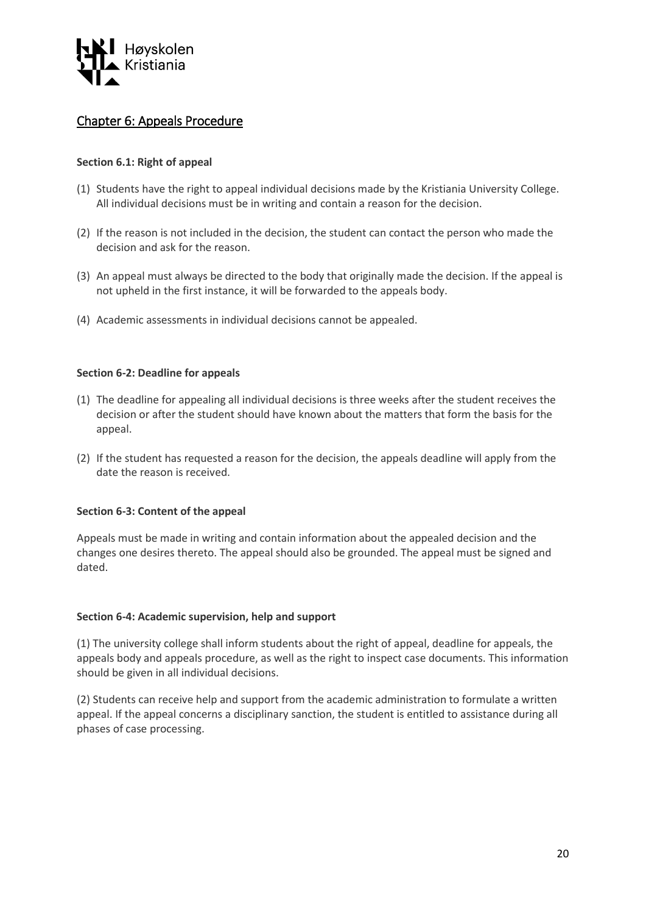

# <span id="page-19-0"></span>Chapter 6: Appeals Procedure

# **Section 6.1: Right of appeal**

- (1) Students have the right to appeal individual decisions made by the Kristiania University College. All individual decisions must be in writing and contain a reason for the decision.
- (2) If the reason is not included in the decision, the student can contact the person who made the decision and ask for the reason.
- (3) An appeal must always be directed to the body that originally made the decision. If the appeal is not upheld in the first instance, it will be forwarded to the appeals body.
- (4) Academic assessments in individual decisions cannot be appealed.

#### **Section 6-2: Deadline for appeals**

- (1) The deadline for appealing all individual decisions is three weeks after the student receives the decision or after the student should have known about the matters that form the basis for the appeal.
- (2) If the student has requested a reason for the decision, the appeals deadline will apply from the date the reason is received.

#### **Section 6-3: Content of the appeal**

Appeals must be made in writing and contain information about the appealed decision and the changes one desires thereto. The appeal should also be grounded. The appeal must be signed and dated.

#### **Section 6-4: Academic supervision, help and support**

(1) The university college shall inform students about the right of appeal, deadline for appeals, the appeals body and appeals procedure, as well as the right to inspect case documents. This information should be given in all individual decisions.

(2) Students can receive help and support from the academic administration to formulate a written appeal. If the appeal concerns a disciplinary sanction, the student is entitled to assistance during all phases of case processing.